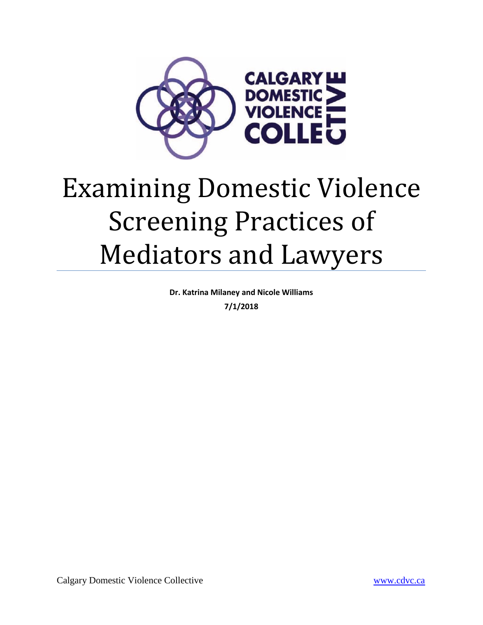

# Examining Domestic Violence Screening Practices of Mediators and Lawyers

**Dr. Katrina Milaney and Nicole Williams**

**7/1/2018**

Calgary Domestic Violence Collective www.cdvc.ca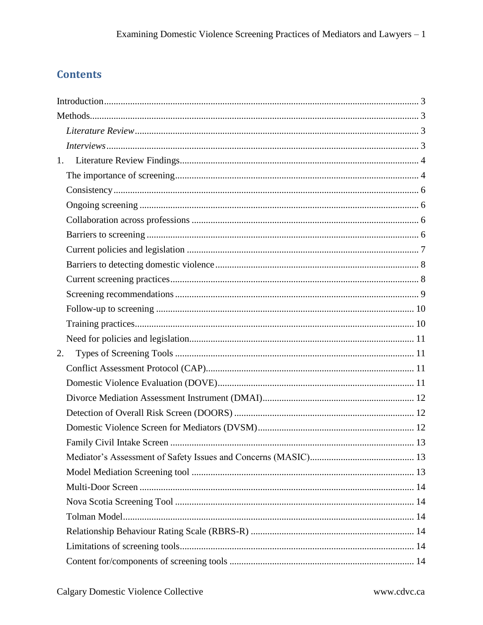# **Contents**

|    | 1. |  |
|----|----|--|
|    |    |  |
|    |    |  |
|    |    |  |
|    |    |  |
|    |    |  |
|    |    |  |
|    |    |  |
|    |    |  |
|    |    |  |
|    |    |  |
|    |    |  |
|    |    |  |
| 2. |    |  |
|    |    |  |
|    |    |  |
|    |    |  |
|    |    |  |
|    |    |  |
|    |    |  |
|    |    |  |
|    |    |  |
|    |    |  |
|    |    |  |
|    |    |  |
|    |    |  |
|    |    |  |
|    |    |  |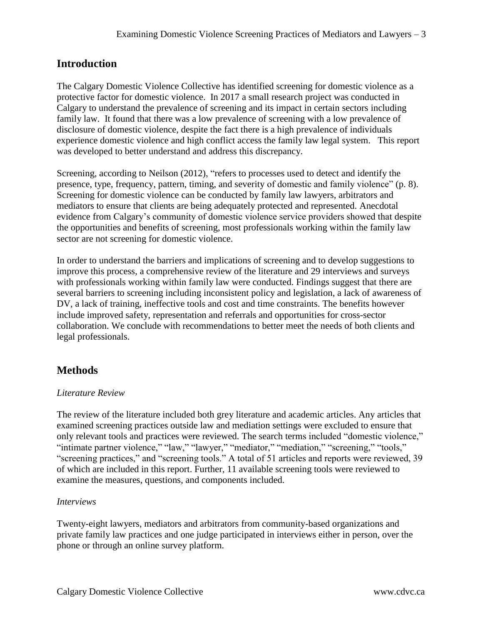# <span id="page-3-0"></span>**Introduction**

The Calgary Domestic Violence Collective has identified screening for domestic violence as a protective factor for domestic violence. In 2017 a small research project was conducted in Calgary to understand the prevalence of screening and its impact in certain sectors including family law. It found that there was a low prevalence of screening with a low prevalence of disclosure of domestic violence, despite the fact there is a high prevalence of individuals experience domestic violence and high conflict access the family law legal system. This report was developed to better understand and address this discrepancy.

Screening, according to Neilson (2012), "refers to processes used to detect and identify the presence, type, frequency, pattern, timing, and severity of domestic and family violence" (p. 8). Screening for domestic violence can be conducted by family law lawyers, arbitrators and mediators to ensure that clients are being adequately protected and represented. Anecdotal evidence from Calgary's community of domestic violence service providers showed that despite the opportunities and benefits of screening, most professionals working within the family law sector are not screening for domestic violence.

In order to understand the barriers and implications of screening and to develop suggestions to improve this process, a comprehensive review of the literature and 29 interviews and surveys with professionals working within family law were conducted. Findings suggest that there are several barriers to screening including inconsistent policy and legislation, a lack of awareness of DV, a lack of training, ineffective tools and cost and time constraints. The benefits however include improved safety, representation and referrals and opportunities for cross-sector collaboration. We conclude with recommendations to better meet the needs of both clients and legal professionals.

# <span id="page-3-1"></span>**Methods**

# <span id="page-3-2"></span>*Literature Review*

The review of the literature included both grey literature and academic articles. Any articles that examined screening practices outside law and mediation settings were excluded to ensure that only relevant tools and practices were reviewed. The search terms included "domestic violence," "intimate partner violence," "law," "lawyer," "mediator," "mediation," "screening," "tools," "screening practices," and "screening tools." A total of 51 articles and reports were reviewed, 39 of which are included in this report. Further, 11 available screening tools were reviewed to examine the measures, questions, and components included.

#### <span id="page-3-3"></span>*Interviews*

Twenty-eight lawyers, mediators and arbitrators from community-based organizations and private family law practices and one judge participated in interviews either in person, over the phone or through an online survey platform.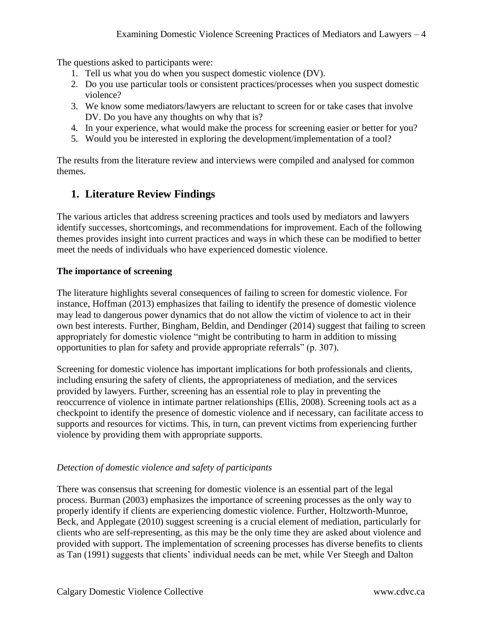The questions asked to participants were:

- 1. Tell us what you do when you suspect domestic violence (DV).
- 2. Do you use particular tools or consistent practices/processes when you suspect domestic violence?
- 3. We know some mediators/lawyers are reluctant to screen for or take cases that involve DV. Do you have any thoughts on why that is?
- 4. In your experience, what would make the process for screening easier or better for you?
- 5. Would you be interested in exploring the development/implementation of a tool?

The results from the literature review and interviews were compiled and analysed for common themes.

# <span id="page-4-0"></span>**1. Literature Review Findings**

The various articles that address screening practices and tools used by mediators and lawyers identify successes, shortcomings, and recommendations for improvement. Each of the following themes provides insight into current practices and ways in which these can be modified to better meet the needs of individuals who have experienced domestic violence.

#### <span id="page-4-1"></span>**The importance of screening**

The literature highlights several consequences of failing to screen for domestic violence. For instance, Hoffman (2013) emphasizes that failing to identify the presence of domestic violence may lead to dangerous power dynamics that do not allow the victim of violence to act in their own best interests. Further, Bingham, Beldin, and Dendinger (2014) suggest that failing to screen appropriately for domestic violence "might be contributing to harm in addition to missing opportunities to plan for safety and provide appropriate referrals" (p. 307).

Screening for domestic violence has important implications for both professionals and clients, including ensuring the safety of clients, the appropriateness of mediation, and the services provided by lawyers. Further, screening has an essential role to play in preventing the reoccurrence of violence in intimate partner relationships (Ellis, 2008). Screening tools act as a checkpoint to identify the presence of domestic violence and if necessary, can facilitate access to supports and resources for victims. This, in turn, can prevent victims from experiencing further violence by providing them with appropriate supports.

#### *Detection of domestic violence and safety of participants*

There was consensus that screening for domestic violence is an essential part of the legal process. Burman (2003) emphasizes the importance of screening processes as the only way to properly identify if clients are experiencing domestic violence. Further, Holtzworth-Munroe, Beck, and Applegate (2010) suggest screening is a crucial element of mediation, particularly for clients who are self-representing, as this may be the only time they are asked about violence and provided with support. The implementation of screening processes has diverse benefits to clients as Tan (1991) suggests that clients' individual needs can be met, while Ver Steegh and Dalton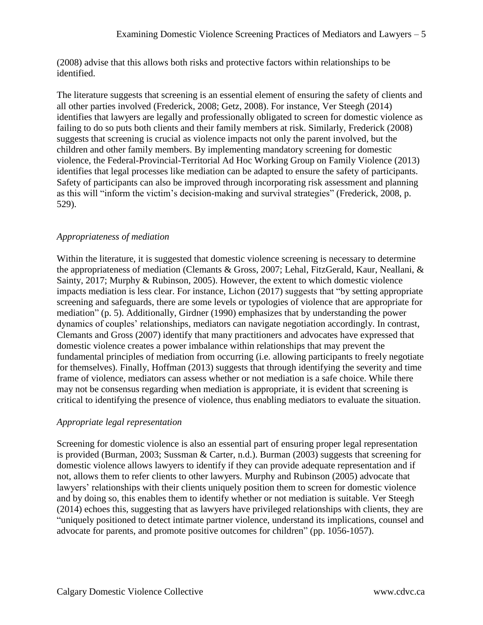(2008) advise that this allows both risks and protective factors within relationships to be identified.

The literature suggests that screening is an essential element of ensuring the safety of clients and all other parties involved (Frederick, 2008; Getz, 2008). For instance, Ver Steegh (2014) identifies that lawyers are legally and professionally obligated to screen for domestic violence as failing to do so puts both clients and their family members at risk. Similarly, Frederick (2008) suggests that screening is crucial as violence impacts not only the parent involved, but the children and other family members. By implementing mandatory screening for domestic violence, the Federal-Provincial-Territorial Ad Hoc Working Group on Family Violence (2013) identifies that legal processes like mediation can be adapted to ensure the safety of participants. Safety of participants can also be improved through incorporating risk assessment and planning as this will "inform the victim's decision-making and survival strategies" (Frederick, 2008, p. 529).

# *Appropriateness of mediation*

Within the literature, it is suggested that domestic violence screening is necessary to determine the appropriateness of mediation (Clemants & Gross, 2007; Lehal, FitzGerald, Kaur, Neallani, & Sainty, 2017; Murphy & Rubinson, 2005). However, the extent to which domestic violence impacts mediation is less clear. For instance, Lichon (2017) suggests that "by setting appropriate screening and safeguards, there are some levels or typologies of violence that are appropriate for mediation" (p. 5). Additionally, Girdner (1990) emphasizes that by understanding the power dynamics of couples' relationships, mediators can navigate negotiation accordingly. In contrast, Clemants and Gross (2007) identify that many practitioners and advocates have expressed that domestic violence creates a power imbalance within relationships that may prevent the fundamental principles of mediation from occurring (i.e. allowing participants to freely negotiate for themselves). Finally, Hoffman (2013) suggests that through identifying the severity and time frame of violence, mediators can assess whether or not mediation is a safe choice. While there may not be consensus regarding when mediation is appropriate, it is evident that screening is critical to identifying the presence of violence, thus enabling mediators to evaluate the situation.

# *Appropriate legal representation*

Screening for domestic violence is also an essential part of ensuring proper legal representation is provided (Burman, 2003; Sussman & Carter, n.d.). Burman (2003) suggests that screening for domestic violence allows lawyers to identify if they can provide adequate representation and if not, allows them to refer clients to other lawyers. Murphy and Rubinson (2005) advocate that lawyers' relationships with their clients uniquely position them to screen for domestic violence and by doing so, this enables them to identify whether or not mediation is suitable. Ver Steegh (2014) echoes this, suggesting that as lawyers have privileged relationships with clients, they are "uniquely positioned to detect intimate partner violence, understand its implications, counsel and advocate for parents, and promote positive outcomes for children" (pp. 1056-1057).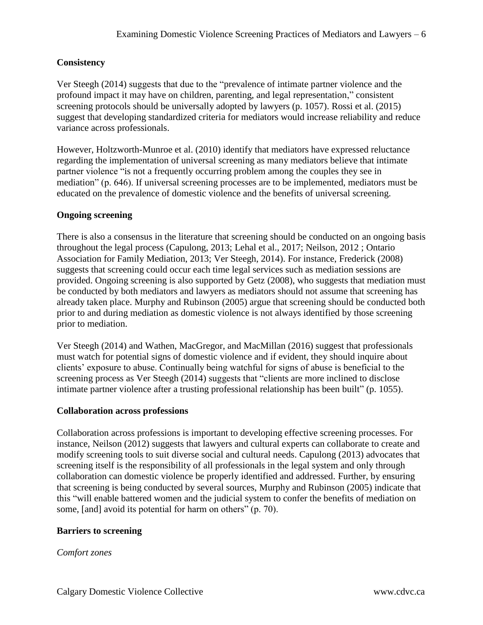# <span id="page-6-0"></span>**Consistency**

Ver Steegh (2014) suggests that due to the "prevalence of intimate partner violence and the profound impact it may have on children, parenting, and legal representation," consistent screening protocols should be universally adopted by lawyers (p. 1057). Rossi et al. (2015) suggest that developing standardized criteria for mediators would increase reliability and reduce variance across professionals.

However, Holtzworth-Munroe et al. (2010) identify that mediators have expressed reluctance regarding the implementation of universal screening as many mediators believe that intimate partner violence "is not a frequently occurring problem among the couples they see in mediation" (p. 646). If universal screening processes are to be implemented, mediators must be educated on the prevalence of domestic violence and the benefits of universal screening.

#### <span id="page-6-1"></span>**Ongoing screening**

There is also a consensus in the literature that screening should be conducted on an ongoing basis throughout the legal process (Capulong, 2013; Lehal et al., 2017; Neilson, 2012 ; Ontario Association for Family Mediation, 2013; Ver Steegh, 2014). For instance, Frederick (2008) suggests that screening could occur each time legal services such as mediation sessions are provided. Ongoing screening is also supported by Getz (2008), who suggests that mediation must be conducted by both mediators and lawyers as mediators should not assume that screening has already taken place. Murphy and Rubinson (2005) argue that screening should be conducted both prior to and during mediation as domestic violence is not always identified by those screening prior to mediation.

Ver Steegh (2014) and Wathen, MacGregor, and MacMillan (2016) suggest that professionals must watch for potential signs of domestic violence and if evident, they should inquire about clients' exposure to abuse. Continually being watchful for signs of abuse is beneficial to the screening process as Ver Steegh (2014) suggests that "clients are more inclined to disclose intimate partner violence after a trusting professional relationship has been built" (p. 1055).

#### <span id="page-6-2"></span>**Collaboration across professions**

Collaboration across professions is important to developing effective screening processes. For instance, Neilson (2012) suggests that lawyers and cultural experts can collaborate to create and modify screening tools to suit diverse social and cultural needs. Capulong (2013) advocates that screening itself is the responsibility of all professionals in the legal system and only through collaboration can domestic violence be properly identified and addressed. Further, by ensuring that screening is being conducted by several sources, Murphy and Rubinson (2005) indicate that this "will enable battered women and the judicial system to confer the benefits of mediation on some, [and] avoid its potential for harm on others" (p. 70).

#### <span id="page-6-3"></span>**Barriers to screening**

#### *Comfort zones*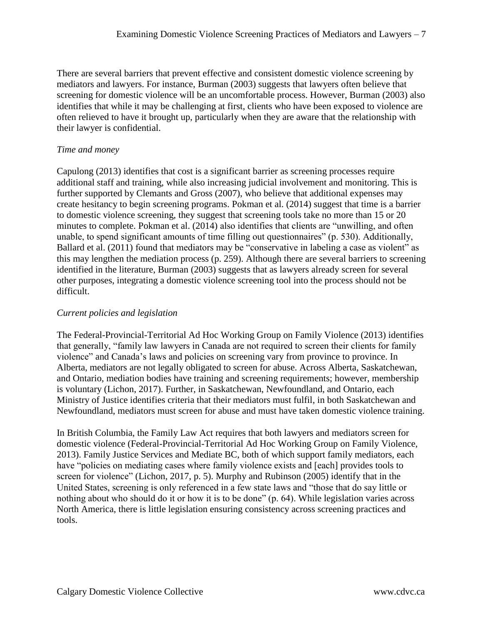There are several barriers that prevent effective and consistent domestic violence screening by mediators and lawyers. For instance, Burman (2003) suggests that lawyers often believe that screening for domestic violence will be an uncomfortable process. However, Burman (2003) also identifies that while it may be challenging at first, clients who have been exposed to violence are often relieved to have it brought up, particularly when they are aware that the relationship with their lawyer is confidential.

#### *Time and money*

Capulong (2013) identifies that cost is a significant barrier as screening processes require additional staff and training, while also increasing judicial involvement and monitoring. This is further supported by Clemants and Gross (2007), who believe that additional expenses may create hesitancy to begin screening programs. Pokman et al. (2014) suggest that time is a barrier to domestic violence screening, they suggest that screening tools take no more than 15 or 20 minutes to complete. Pokman et al. (2014) also identifies that clients are "unwilling, and often unable, to spend significant amounts of time filling out questionnaires" (p. 530). Additionally, Ballard et al. (2011) found that mediators may be "conservative in labeling a case as violent" as this may lengthen the mediation process (p. 259). Although there are several barriers to screening identified in the literature, Burman (2003) suggests that as lawyers already screen for several other purposes, integrating a domestic violence screening tool into the process should not be difficult.

#### <span id="page-7-0"></span>*Current policies and legislation*

The Federal-Provincial-Territorial Ad Hoc Working Group on Family Violence (2013) identifies that generally, "family law lawyers in Canada are not required to screen their clients for family violence" and Canada's laws and policies on screening vary from province to province. In Alberta, mediators are not legally obligated to screen for abuse. Across Alberta, Saskatchewan, and Ontario, mediation bodies have training and screening requirements; however, membership is voluntary (Lichon, 2017). Further, in Saskatchewan, Newfoundland, and Ontario, each Ministry of Justice identifies criteria that their mediators must fulfil, in both Saskatchewan and Newfoundland, mediators must screen for abuse and must have taken domestic violence training.

In British Columbia, the Family Law Act requires that both lawyers and mediators screen for domestic violence (Federal-Provincial-Territorial Ad Hoc Working Group on Family Violence, 2013). Family Justice Services and Mediate BC, both of which support family mediators, each have "policies on mediating cases where family violence exists and [each] provides tools to screen for violence" (Lichon, 2017, p. 5). Murphy and Rubinson (2005) identify that in the United States, screening is only referenced in a few state laws and "those that do say little or nothing about who should do it or how it is to be done" (p. 64). While legislation varies across North America, there is little legislation ensuring consistency across screening practices and tools.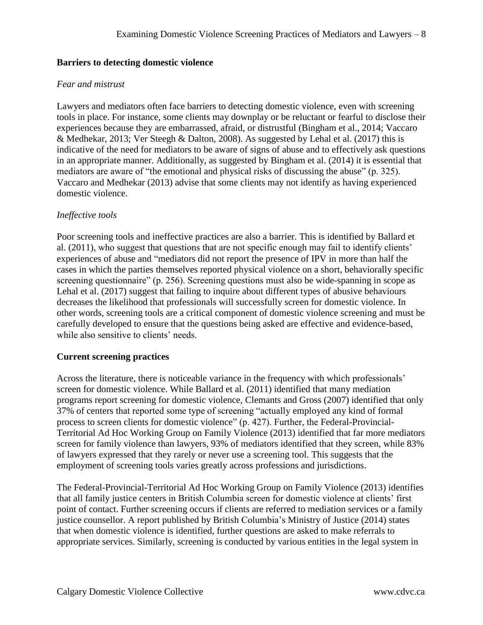# <span id="page-8-0"></span>**Barriers to detecting domestic violence**

# *Fear and mistrust*

Lawyers and mediators often face barriers to detecting domestic violence, even with screening tools in place. For instance, some clients may downplay or be reluctant or fearful to disclose their experiences because they are embarrassed, afraid, or distrustful (Bingham et al., 2014; Vaccaro & Medhekar, 2013; Ver Steegh & Dalton, 2008). As suggested by Lehal et al. (2017) this is indicative of the need for mediators to be aware of signs of abuse and to effectively ask questions in an appropriate manner. Additionally, as suggested by Bingham et al. (2014) it is essential that mediators are aware of "the emotional and physical risks of discussing the abuse" (p. 325). Vaccaro and Medhekar (2013) advise that some clients may not identify as having experienced domestic violence.

# *Ineffective tools*

Poor screening tools and ineffective practices are also a barrier. This is identified by Ballard et al. (2011), who suggest that questions that are not specific enough may fail to identify clients' experiences of abuse and "mediators did not report the presence of IPV in more than half the cases in which the parties themselves reported physical violence on a short, behaviorally specific screening questionnaire" (p. 256). Screening questions must also be wide-spanning in scope as Lehal et al. (2017) suggest that failing to inquire about different types of abusive behaviours decreases the likelihood that professionals will successfully screen for domestic violence. In other words, screening tools are a critical component of domestic violence screening and must be carefully developed to ensure that the questions being asked are effective and evidence-based, while also sensitive to clients' needs.

# <span id="page-8-1"></span>**Current screening practices**

Across the literature, there is noticeable variance in the frequency with which professionals' screen for domestic violence. While Ballard et al. (2011) identified that many mediation programs report screening for domestic violence, Clemants and Gross (2007) identified that only 37% of centers that reported some type of screening "actually employed any kind of formal process to screen clients for domestic violence" (p. 427). Further, the Federal-Provincial-Territorial Ad Hoc Working Group on Family Violence (2013) identified that far more mediators screen for family violence than lawyers, 93% of mediators identified that they screen, while 83% of lawyers expressed that they rarely or never use a screening tool. This suggests that the employment of screening tools varies greatly across professions and jurisdictions.

The Federal-Provincial-Territorial Ad Hoc Working Group on Family Violence (2013) identifies that all family justice centers in British Columbia screen for domestic violence at clients' first point of contact. Further screening occurs if clients are referred to mediation services or a family justice counsellor. A report published by British Columbia's Ministry of Justice (2014) states that when domestic violence is identified, further questions are asked to make referrals to appropriate services. Similarly, screening is conducted by various entities in the legal system in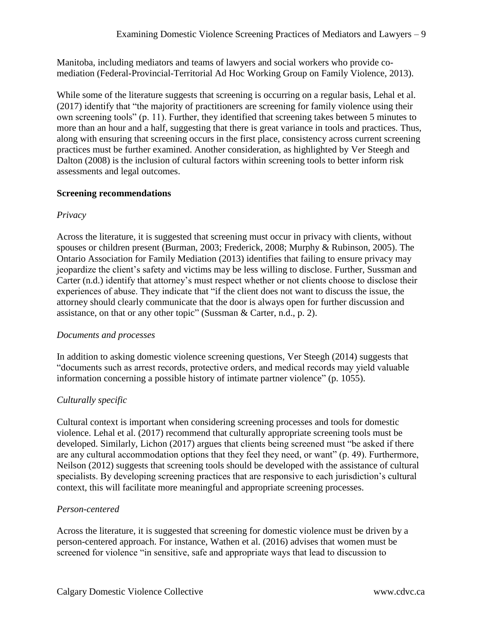Manitoba, including mediators and teams of lawyers and social workers who provide comediation (Federal-Provincial-Territorial Ad Hoc Working Group on Family Violence, 2013).

While some of the literature suggests that screening is occurring on a regular basis, Lehal et al. (2017) identify that "the majority of practitioners are screening for family violence using their own screening tools" (p. 11). Further, they identified that screening takes between 5 minutes to more than an hour and a half, suggesting that there is great variance in tools and practices. Thus, along with ensuring that screening occurs in the first place, consistency across current screening practices must be further examined. Another consideration, as highlighted by Ver Steegh and Dalton (2008) is the inclusion of cultural factors within screening tools to better inform risk assessments and legal outcomes.

#### <span id="page-9-0"></span>**Screening recommendations**

#### *Privacy*

Across the literature, it is suggested that screening must occur in privacy with clients, without spouses or children present (Burman, 2003; Frederick, 2008; Murphy & Rubinson, 2005). The Ontario Association for Family Mediation (2013) identifies that failing to ensure privacy may jeopardize the client's safety and victims may be less willing to disclose. Further, Sussman and Carter (n.d.) identify that attorney's must respect whether or not clients choose to disclose their experiences of abuse. They indicate that "if the client does not want to discuss the issue, the attorney should clearly communicate that the door is always open for further discussion and assistance, on that or any other topic" (Sussman & Carter, n.d., p. 2).

# *Documents and processes*

In addition to asking domestic violence screening questions, Ver Steegh (2014) suggests that "documents such as arrest records, protective orders, and medical records may yield valuable information concerning a possible history of intimate partner violence" (p. 1055).

# *Culturally specific*

Cultural context is important when considering screening processes and tools for domestic violence. Lehal et al. (2017) recommend that culturally appropriate screening tools must be developed. Similarly, Lichon (2017) argues that clients being screened must "be asked if there are any cultural accommodation options that they feel they need, or want" (p. 49). Furthermore, Neilson (2012) suggests that screening tools should be developed with the assistance of cultural specialists. By developing screening practices that are responsive to each jurisdiction's cultural context, this will facilitate more meaningful and appropriate screening processes.

#### *Person-centered*

Across the literature, it is suggested that screening for domestic violence must be driven by a person-centered approach. For instance, Wathen et al. (2016) advises that women must be screened for violence "in sensitive, safe and appropriate ways that lead to discussion to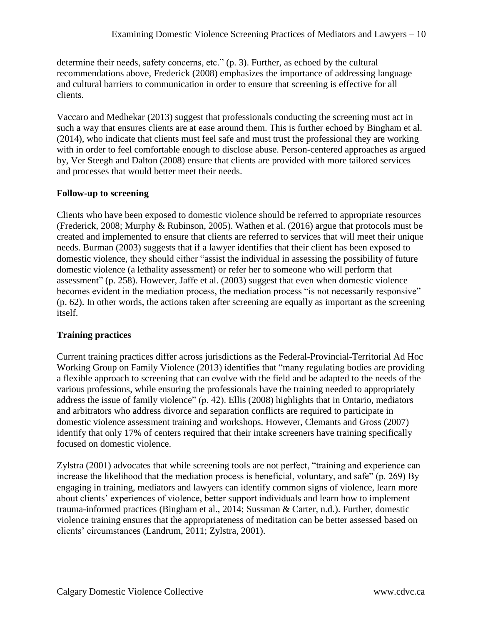determine their needs, safety concerns, etc." (p. 3). Further, as echoed by the cultural recommendations above, Frederick (2008) emphasizes the importance of addressing language and cultural barriers to communication in order to ensure that screening is effective for all clients.

Vaccaro and Medhekar (2013) suggest that professionals conducting the screening must act in such a way that ensures clients are at ease around them. This is further echoed by Bingham et al. (2014), who indicate that clients must feel safe and must trust the professional they are working with in order to feel comfortable enough to disclose abuse. Person-centered approaches as argued by, Ver Steegh and Dalton (2008) ensure that clients are provided with more tailored services and processes that would better meet their needs.

# <span id="page-10-0"></span>**Follow-up to screening**

Clients who have been exposed to domestic violence should be referred to appropriate resources (Frederick, 2008; Murphy & Rubinson, 2005). Wathen et al. (2016) argue that protocols must be created and implemented to ensure that clients are referred to services that will meet their unique needs. Burman (2003) suggests that if a lawyer identifies that their client has been exposed to domestic violence, they should either "assist the individual in assessing the possibility of future domestic violence (a lethality assessment) or refer her to someone who will perform that assessment" (p. 258). However, Jaffe et al. (2003) suggest that even when domestic violence becomes evident in the mediation process, the mediation process "is not necessarily responsive" (p. 62). In other words, the actions taken after screening are equally as important as the screening itself.

# <span id="page-10-1"></span>**Training practices**

Current training practices differ across jurisdictions as the Federal-Provincial-Territorial Ad Hoc Working Group on Family Violence (2013) identifies that "many regulating bodies are providing a flexible approach to screening that can evolve with the field and be adapted to the needs of the various professions, while ensuring the professionals have the training needed to appropriately address the issue of family violence" (p. 42). Ellis (2008) highlights that in Ontario, mediators and arbitrators who address divorce and separation conflicts are required to participate in domestic violence assessment training and workshops. However, Clemants and Gross (2007) identify that only 17% of centers required that their intake screeners have training specifically focused on domestic violence.

Zylstra (2001) advocates that while screening tools are not perfect, "training and experience can increase the likelihood that the mediation process is beneficial, voluntary, and safe" (p. 269) By engaging in training, mediators and lawyers can identify common signs of violence, learn more about clients' experiences of violence, better support individuals and learn how to implement trauma-informed practices (Bingham et al., 2014; Sussman & Carter, n.d.). Further, domestic violence training ensures that the appropriateness of meditation can be better assessed based on clients' circumstances (Landrum, 2011; Zylstra, 2001).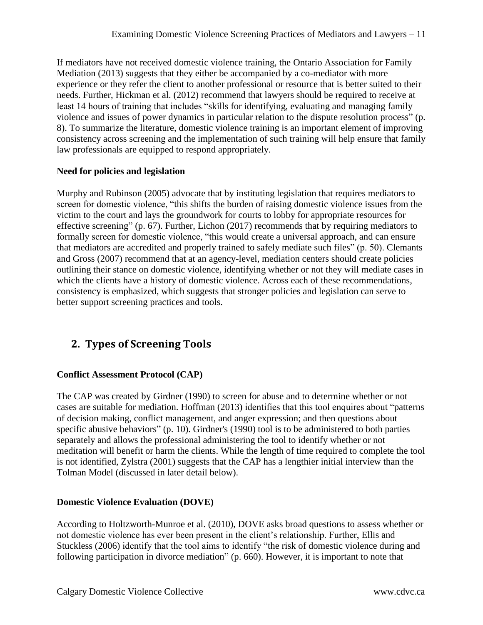If mediators have not received domestic violence training, the Ontario Association for Family Mediation (2013) suggests that they either be accompanied by a co-mediator with more experience or they refer the client to another professional or resource that is better suited to their needs. Further, Hickman et al. (2012) recommend that lawyers should be required to receive at least 14 hours of training that includes "skills for identifying, evaluating and managing family violence and issues of power dynamics in particular relation to the dispute resolution process" (p. 8). To summarize the literature, domestic violence training is an important element of improving consistency across screening and the implementation of such training will help ensure that family law professionals are equipped to respond appropriately.

#### <span id="page-11-0"></span>**Need for policies and legislation**

Murphy and Rubinson (2005) advocate that by instituting legislation that requires mediators to screen for domestic violence, "this shifts the burden of raising domestic violence issues from the victim to the court and lays the groundwork for courts to lobby for appropriate resources for effective screening" (p. 67). Further, Lichon (2017) recommends that by requiring mediators to formally screen for domestic violence, "this would create a universal approach, and can ensure that mediators are accredited and properly trained to safely mediate such files" (p. 50). Clemants and Gross (2007) recommend that at an agency-level, mediation centers should create policies outlining their stance on domestic violence, identifying whether or not they will mediate cases in which the clients have a history of domestic violence. Across each of these recommendations, consistency is emphasized, which suggests that stronger policies and legislation can serve to better support screening practices and tools.

# <span id="page-11-1"></span>**2. Types of Screening Tools**

# <span id="page-11-2"></span>**Conflict Assessment Protocol (CAP)**

The CAP was created by Girdner (1990) to screen for abuse and to determine whether or not cases are suitable for mediation. Hoffman (2013) identifies that this tool enquires about "patterns of decision making, conflict management, and anger expression; and then questions about specific abusive behaviors" (p. 10). Girdner's (1990) tool is to be administered to both parties separately and allows the professional administering the tool to identify whether or not meditation will benefit or harm the clients. While the length of time required to complete the tool is not identified, Zylstra (2001) suggests that the CAP has a lengthier initial interview than the Tolman Model (discussed in later detail below).

# <span id="page-11-3"></span>**Domestic Violence Evaluation (DOVE)**

According to Holtzworth-Munroe et al. (2010), DOVE asks broad questions to assess whether or not domestic violence has ever been present in the client's relationship. Further, Ellis and Stuckless (2006) identify that the tool aims to identify "the risk of domestic violence during and following participation in divorce mediation" (p. 660). However, it is important to note that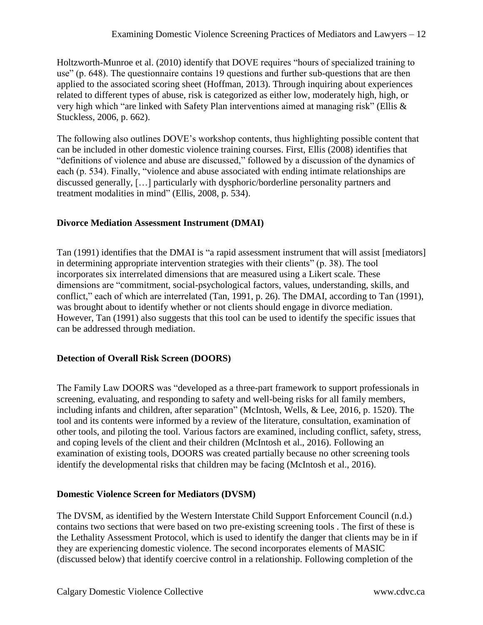Holtzworth-Munroe et al. (2010) identify that DOVE requires "hours of specialized training to use" (p. 648). The questionnaire contains 19 questions and further sub-questions that are then applied to the associated scoring sheet (Hoffman, 2013). Through inquiring about experiences related to different types of abuse, risk is categorized as either low, moderately high, high, or very high which "are linked with Safety Plan interventions aimed at managing risk" (Ellis & Stuckless, 2006, p. 662).

The following also outlines DOVE's workshop contents, thus highlighting possible content that can be included in other domestic violence training courses. First, Ellis (2008) identifies that "definitions of violence and abuse are discussed," followed by a discussion of the dynamics of each (p. 534). Finally, "violence and abuse associated with ending intimate relationships are discussed generally, […] particularly with dysphoric/borderline personality partners and treatment modalities in mind" (Ellis, 2008, p. 534).

# <span id="page-12-0"></span>**Divorce Mediation Assessment Instrument (DMAI)**

Tan (1991) identifies that the DMAI is "a rapid assessment instrument that will assist [mediators] in determining appropriate intervention strategies with their clients" (p. 38). The tool incorporates six interrelated dimensions that are measured using a Likert scale. These dimensions are "commitment, social-psychological factors, values, understanding, skills, and conflict," each of which are interrelated (Tan, 1991, p. 26). The DMAI, according to Tan (1991), was brought about to identify whether or not clients should engage in divorce mediation. However, Tan (1991) also suggests that this tool can be used to identify the specific issues that can be addressed through mediation.

# <span id="page-12-1"></span>**Detection of Overall Risk Screen (DOORS)**

The Family Law DOORS was "developed as a three-part framework to support professionals in screening, evaluating, and responding to safety and well-being risks for all family members, including infants and children, after separation" (McIntosh, Wells, & Lee, 2016, p. 1520). The tool and its contents were informed by a review of the literature, consultation, examination of other tools, and piloting the tool. Various factors are examined, including conflict, safety, stress, and coping levels of the client and their children (McIntosh et al., 2016). Following an examination of existing tools, DOORS was created partially because no other screening tools identify the developmental risks that children may be facing (McIntosh et al., 2016).

# <span id="page-12-2"></span>**Domestic Violence Screen for Mediators (DVSM)**

The DVSM, as identified by the Western Interstate Child Support Enforcement Council (n.d.) contains two sections that were based on two pre-existing screening tools . The first of these is the Lethality Assessment Protocol, which is used to identify the danger that clients may be in if they are experiencing domestic violence. The second incorporates elements of MASIC (discussed below) that identify coercive control in a relationship. Following completion of the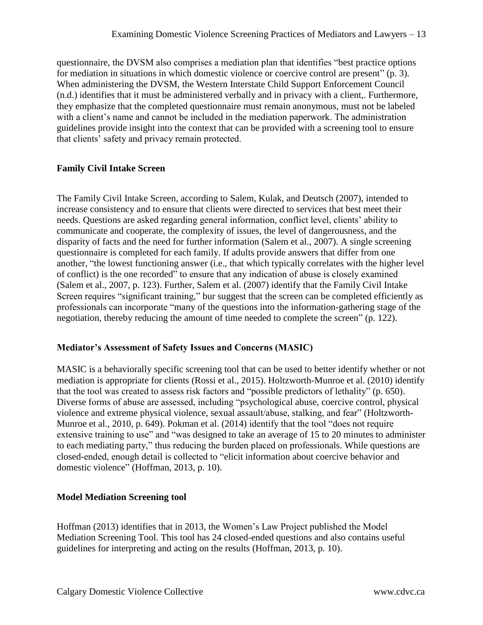questionnaire, the DVSM also comprises a mediation plan that identifies "best practice options for mediation in situations in which domestic violence or coercive control are present" (p. 3). When administering the DVSM, the Western Interstate Child Support Enforcement Council (n.d.) identifies that it must be administered verbally and in privacy with a client,. Furthermore, they emphasize that the completed questionnaire must remain anonymous, must not be labeled with a client's name and cannot be included in the mediation paperwork. The administration guidelines provide insight into the context that can be provided with a screening tool to ensure that clients' safety and privacy remain protected.

# <span id="page-13-0"></span>**Family Civil Intake Screen**

The Family Civil Intake Screen, according to Salem, Kulak, and Deutsch (2007), intended to increase consistency and to ensure that clients were directed to services that best meet their needs. Questions are asked regarding general information, conflict level, clients' ability to communicate and cooperate, the complexity of issues, the level of dangerousness, and the disparity of facts and the need for further information (Salem et al., 2007). A single screening questionnaire is completed for each family. If adults provide answers that differ from one another, "the lowest functioning answer (i.e., that which typically correlates with the higher level of conflict) is the one recorded" to ensure that any indication of abuse is closely examined (Salem et al., 2007, p. 123). Further, Salem et al. (2007) identify that the Family Civil Intake Screen requires "significant training," bur suggest that the screen can be completed efficiently as professionals can incorporate "many of the questions into the information-gathering stage of the negotiation, thereby reducing the amount of time needed to complete the screen" (p. 122).

# <span id="page-13-1"></span>**Mediator's Assessment of Safety Issues and Concerns (MASIC)**

MASIC is a behaviorally specific screening tool that can be used to better identify whether or not mediation is appropriate for clients (Rossi et al., 2015). Holtzworth-Munroe et al. (2010) identify that the tool was created to assess risk factors and "possible predictors of lethality" (p. 650). Diverse forms of abuse are assessed, including "psychological abuse, coercive control, physical violence and extreme physical violence, sexual assault/abuse, stalking, and fear" (Holtzworth-Munroe et al., 2010, p. 649). Pokman et al. (2014) identify that the tool "does not require extensive training to use" and "was designed to take an average of 15 to 20 minutes to administer to each mediating party," thus reducing the burden placed on professionals. While questions are closed-ended, enough detail is collected to "elicit information about coercive behavior and domestic violence" (Hoffman, 2013, p. 10).

# <span id="page-13-2"></span>**Model Mediation Screening tool**

Hoffman (2013) identifies that in 2013, the Women's Law Project published the Model Mediation Screening Tool. This tool has 24 closed-ended questions and also contains useful guidelines for interpreting and acting on the results (Hoffman, 2013, p. 10).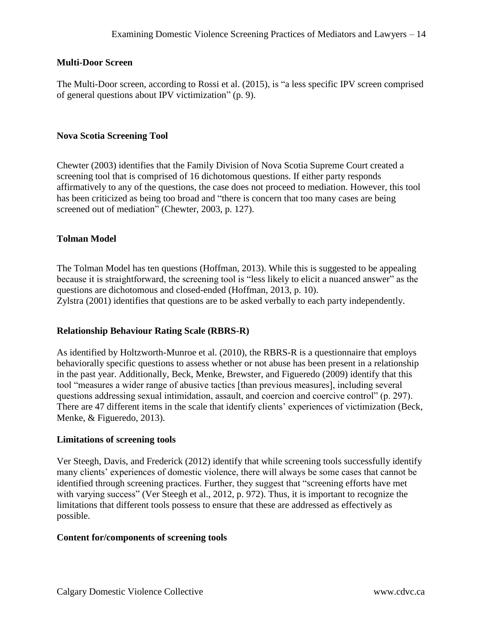#### <span id="page-14-0"></span>**Multi-Door Screen**

The Multi-Door screen, according to Rossi et al. (2015), is "a less specific IPV screen comprised of general questions about IPV victimization" (p. 9).

#### <span id="page-14-1"></span>**Nova Scotia Screening Tool**

Chewter (2003) identifies that the Family Division of Nova Scotia Supreme Court created a screening tool that is comprised of 16 dichotomous questions. If either party responds affirmatively to any of the questions, the case does not proceed to mediation. However, this tool has been criticized as being too broad and "there is concern that too many cases are being screened out of mediation" (Chewter, 2003, p. 127).

#### <span id="page-14-2"></span>**Tolman Model**

The Tolman Model has ten questions (Hoffman, 2013). While this is suggested to be appealing because it is straightforward, the screening tool is "less likely to elicit a nuanced answer" as the questions are dichotomous and closed-ended (Hoffman, 2013, p. 10). Zylstra (2001) identifies that questions are to be asked verbally to each party independently.

#### <span id="page-14-3"></span>**Relationship Behaviour Rating Scale (RBRS-R)**

As identified by Holtzworth-Munroe et al. (2010), the RBRS-R is a questionnaire that employs behaviorally specific questions to assess whether or not abuse has been present in a relationship in the past year. Additionally, Beck, Menke, Brewster, and Figueredo (2009) identify that this tool "measures a wider range of abusive tactics [than previous measures], including several questions addressing sexual intimidation, assault, and coercion and coercive control" (p. 297). There are 47 different items in the scale that identify clients' experiences of victimization (Beck, Menke, & Figueredo, 2013).

#### <span id="page-14-4"></span>**Limitations of screening tools**

Ver Steegh, Davis, and Frederick (2012) identify that while screening tools successfully identify many clients' experiences of domestic violence, there will always be some cases that cannot be identified through screening practices. Further, they suggest that "screening efforts have met with varying success" (Ver Steegh et al., 2012, p. 972). Thus, it is important to recognize the limitations that different tools possess to ensure that these are addressed as effectively as possible.

#### <span id="page-14-5"></span>**Content for/components of screening tools**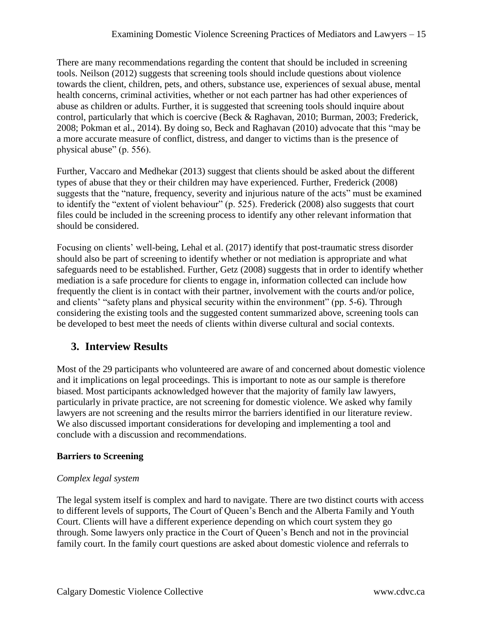There are many recommendations regarding the content that should be included in screening tools. Neilson (2012) suggests that screening tools should include questions about violence towards the client, children, pets, and others, substance use, experiences of sexual abuse, mental health concerns, criminal activities, whether or not each partner has had other experiences of abuse as children or adults. Further, it is suggested that screening tools should inquire about control, particularly that which is coercive (Beck & Raghavan, 2010; Burman, 2003; Frederick, 2008; Pokman et al., 2014). By doing so, Beck and Raghavan (2010) advocate that this "may be a more accurate measure of conflict, distress, and danger to victims than is the presence of physical abuse" (p. 556).

Further, Vaccaro and Medhekar (2013) suggest that clients should be asked about the different types of abuse that they or their children may have experienced. Further, Frederick (2008) suggests that the "nature, frequency, severity and injurious nature of the acts" must be examined to identify the "extent of violent behaviour" (p. 525). Frederick (2008) also suggests that court files could be included in the screening process to identify any other relevant information that should be considered.

Focusing on clients' well-being, Lehal et al. (2017) identify that post-traumatic stress disorder should also be part of screening to identify whether or not mediation is appropriate and what safeguards need to be established. Further, Getz (2008) suggests that in order to identify whether mediation is a safe procedure for clients to engage in, information collected can include how frequently the client is in contact with their partner, involvement with the courts and/or police, and clients' "safety plans and physical security within the environment" (pp. 5-6). Through considering the existing tools and the suggested content summarized above, screening tools can be developed to best meet the needs of clients within diverse cultural and social contexts.

# <span id="page-15-0"></span>**3. Interview Results**

Most of the 29 participants who volunteered are aware of and concerned about domestic violence and it implications on legal proceedings. This is important to note as our sample is therefore biased. Most participants acknowledged however that the majority of family law lawyers, particularly in private practice, are not screening for domestic violence. We asked why family lawyers are not screening and the results mirror the barriers identified in our literature review. We also discussed important considerations for developing and implementing a tool and conclude with a discussion and recommendations.

# <span id="page-15-1"></span>**Barriers to Screening**

# *Complex legal system*

The legal system itself is complex and hard to navigate. There are two distinct courts with access to different levels of supports, The Court of Queen's Bench and the Alberta Family and Youth Court. Clients will have a different experience depending on which court system they go through. Some lawyers only practice in the Court of Queen's Bench and not in the provincial family court. In the family court questions are asked about domestic violence and referrals to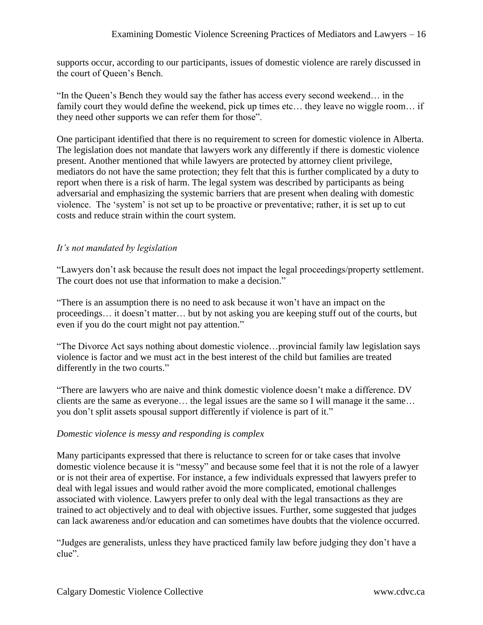supports occur, according to our participants, issues of domestic violence are rarely discussed in the court of Queen's Bench.

"In the Queen's Bench they would say the father has access every second weekend… in the family court they would define the weekend, pick up times etc... they leave no wiggle room... if they need other supports we can refer them for those".

One participant identified that there is no requirement to screen for domestic violence in Alberta. The legislation does not mandate that lawyers work any differently if there is domestic violence present. Another mentioned that while lawyers are protected by attorney client privilege, mediators do not have the same protection; they felt that this is further complicated by a duty to report when there is a risk of harm. The legal system was described by participants as being adversarial and emphasizing the systemic barriers that are present when dealing with domestic violence. The 'system' is not set up to be proactive or preventative; rather, it is set up to cut costs and reduce strain within the court system.

#### *It's not mandated by legislation*

"Lawyers don't ask because the result does not impact the legal proceedings/property settlement. The court does not use that information to make a decision."

"There is an assumption there is no need to ask because it won't have an impact on the proceedings… it doesn't matter… but by not asking you are keeping stuff out of the courts, but even if you do the court might not pay attention."

"The Divorce Act says nothing about domestic violence…provincial family law legislation says violence is factor and we must act in the best interest of the child but families are treated differently in the two courts."

"There are lawyers who are naive and think domestic violence doesn't make a difference. DV clients are the same as everyone… the legal issues are the same so I will manage it the same… you don't split assets spousal support differently if violence is part of it."

#### <span id="page-16-0"></span>*Domestic violence is messy and responding is complex*

Many participants expressed that there is reluctance to screen for or take cases that involve domestic violence because it is "messy" and because some feel that it is not the role of a lawyer or is not their area of expertise. For instance, a few individuals expressed that lawyers prefer to deal with legal issues and would rather avoid the more complicated, emotional challenges associated with violence. Lawyers prefer to only deal with the legal transactions as they are trained to act objectively and to deal with objective issues. Further, some suggested that judges can lack awareness and/or education and can sometimes have doubts that the violence occurred.

"Judges are generalists, unless they have practiced family law before judging they don't have a clue".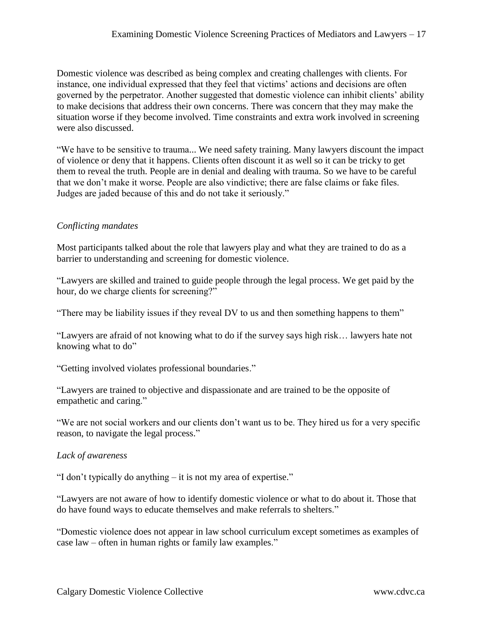Domestic violence was described as being complex and creating challenges with clients. For instance, one individual expressed that they feel that victims' actions and decisions are often governed by the perpetrator. Another suggested that domestic violence can inhibit clients' ability to make decisions that address their own concerns. There was concern that they may make the situation worse if they become involved. Time constraints and extra work involved in screening were also discussed.

"We have to be sensitive to trauma... We need safety training. Many lawyers discount the impact of violence or deny that it happens. Clients often discount it as well so it can be tricky to get them to reveal the truth. People are in denial and dealing with trauma. So we have to be careful that we don't make it worse. People are also vindictive; there are false claims or fake files. Judges are jaded because of this and do not take it seriously."

#### *Conflicting mandates*

Most participants talked about the role that lawyers play and what they are trained to do as a barrier to understanding and screening for domestic violence.

"Lawyers are skilled and trained to guide people through the legal process. We get paid by the hour, do we charge clients for screening?"

"There may be liability issues if they reveal DV to us and then something happens to them"

"Lawyers are afraid of not knowing what to do if the survey says high risk… lawyers hate not knowing what to do"

"Getting involved violates professional boundaries."

"Lawyers are trained to objective and dispassionate and are trained to be the opposite of empathetic and caring."

"We are not social workers and our clients don't want us to be. They hired us for a very specific reason, to navigate the legal process."

#### *Lack of awareness*

"I don't typically do anything – it is not my area of expertise."

"Lawyers are not aware of how to identify domestic violence or what to do about it. Those that do have found ways to educate themselves and make referrals to shelters."

"Domestic violence does not appear in law school curriculum except sometimes as examples of case law – often in human rights or family law examples."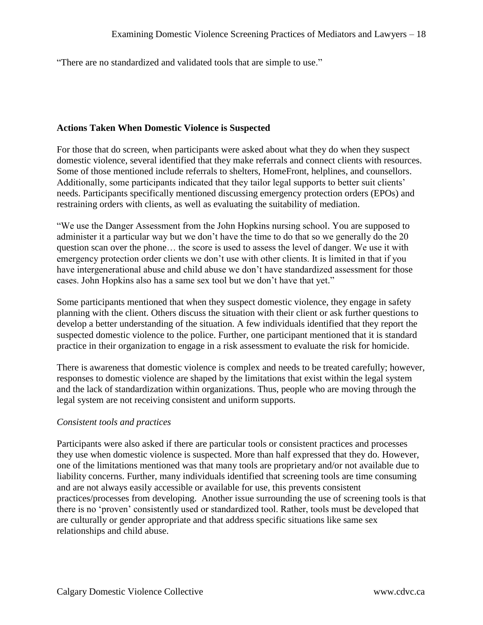"There are no standardized and validated tools that are simple to use."

#### <span id="page-18-0"></span>**Actions Taken When Domestic Violence is Suspected**

For those that do screen, when participants were asked about what they do when they suspect domestic violence, several identified that they make referrals and connect clients with resources. Some of those mentioned include referrals to shelters, HomeFront, helplines, and counsellors. Additionally, some participants indicated that they tailor legal supports to better suit clients' needs. Participants specifically mentioned discussing emergency protection orders (EPOs) and restraining orders with clients, as well as evaluating the suitability of mediation.

"We use the Danger Assessment from the John Hopkins nursing school. You are supposed to administer it a particular way but we don't have the time to do that so we generally do the 20 question scan over the phone… the score is used to assess the level of danger. We use it with emergency protection order clients we don't use with other clients. It is limited in that if you have intergenerational abuse and child abuse we don't have standardized assessment for those cases. John Hopkins also has a same sex tool but we don't have that yet."

Some participants mentioned that when they suspect domestic violence, they engage in safety planning with the client. Others discuss the situation with their client or ask further questions to develop a better understanding of the situation. A few individuals identified that they report the suspected domestic violence to the police. Further, one participant mentioned that it is standard practice in their organization to engage in a risk assessment to evaluate the risk for homicide.

There is awareness that domestic violence is complex and needs to be treated carefully; however, responses to domestic violence are shaped by the limitations that exist within the legal system and the lack of standardization within organizations. Thus, people who are moving through the legal system are not receiving consistent and uniform supports.

#### *Consistent tools and practices*

Participants were also asked if there are particular tools or consistent practices and processes they use when domestic violence is suspected. More than half expressed that they do. However, one of the limitations mentioned was that many tools are proprietary and/or not available due to liability concerns. Further, many individuals identified that screening tools are time consuming and are not always easily accessible or available for use, this prevents consistent practices/processes from developing. Another issue surrounding the use of screening tools is that there is no 'proven' consistently used or standardized tool. Rather, tools must be developed that are culturally or gender appropriate and that address specific situations like same sex relationships and child abuse.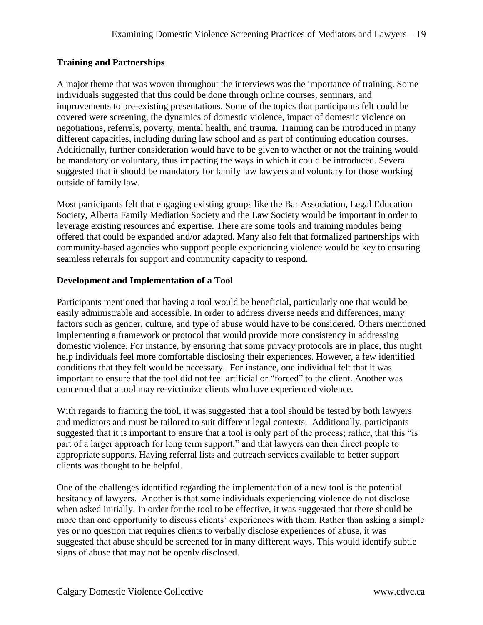# <span id="page-19-0"></span>**Training and Partnerships**

A major theme that was woven throughout the interviews was the importance of training. Some individuals suggested that this could be done through online courses, seminars, and improvements to pre-existing presentations. Some of the topics that participants felt could be covered were screening, the dynamics of domestic violence, impact of domestic violence on negotiations, referrals, poverty, mental health, and trauma. Training can be introduced in many different capacities, including during law school and as part of continuing education courses. Additionally, further consideration would have to be given to whether or not the training would be mandatory or voluntary, thus impacting the ways in which it could be introduced. Several suggested that it should be mandatory for family law lawyers and voluntary for those working outside of family law.

Most participants felt that engaging existing groups like the Bar Association, Legal Education Society, Alberta Family Mediation Society and the Law Society would be important in order to leverage existing resources and expertise. There are some tools and training modules being offered that could be expanded and/or adapted. Many also felt that formalized partnerships with community-based agencies who support people experiencing violence would be key to ensuring seamless referrals for support and community capacity to respond.

# <span id="page-19-1"></span>**Development and Implementation of a Tool**

Participants mentioned that having a tool would be beneficial, particularly one that would be easily administrable and accessible. In order to address diverse needs and differences, many factors such as gender, culture, and type of abuse would have to be considered. Others mentioned implementing a framework or protocol that would provide more consistency in addressing domestic violence. For instance, by ensuring that some privacy protocols are in place, this might help individuals feel more comfortable disclosing their experiences. However, a few identified conditions that they felt would be necessary. For instance, one individual felt that it was important to ensure that the tool did not feel artificial or "forced" to the client. Another was concerned that a tool may re-victimize clients who have experienced violence.

With regards to framing the tool, it was suggested that a tool should be tested by both lawyers and mediators and must be tailored to suit different legal contexts. Additionally, participants suggested that it is important to ensure that a tool is only part of the process; rather, that this "is part of a larger approach for long term support," and that lawyers can then direct people to appropriate supports. Having referral lists and outreach services available to better support clients was thought to be helpful.

One of the challenges identified regarding the implementation of a new tool is the potential hesitancy of lawyers. Another is that some individuals experiencing violence do not disclose when asked initially. In order for the tool to be effective, it was suggested that there should be more than one opportunity to discuss clients' experiences with them. Rather than asking a simple yes or no question that requires clients to verbally disclose experiences of abuse, it was suggested that abuse should be screened for in many different ways. This would identify subtle signs of abuse that may not be openly disclosed.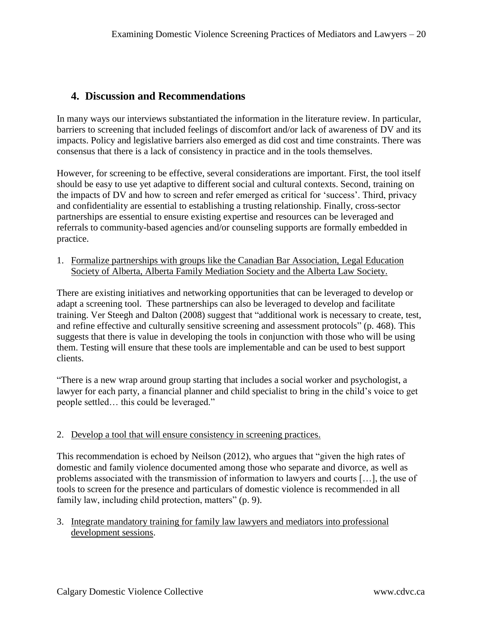# <span id="page-20-0"></span>**4. Discussion and Recommendations**

In many ways our interviews substantiated the information in the literature review. In particular, barriers to screening that included feelings of discomfort and/or lack of awareness of DV and its impacts. Policy and legislative barriers also emerged as did cost and time constraints. There was consensus that there is a lack of consistency in practice and in the tools themselves.

However, for screening to be effective, several considerations are important. First, the tool itself should be easy to use yet adaptive to different social and cultural contexts. Second, training on the impacts of DV and how to screen and refer emerged as critical for 'success'. Third, privacy and confidentiality are essential to establishing a trusting relationship. Finally, cross-sector partnerships are essential to ensure existing expertise and resources can be leveraged and referrals to community-based agencies and/or counseling supports are formally embedded in practice.

1. Formalize partnerships with groups like the Canadian Bar Association, Legal Education Society of Alberta, Alberta Family Mediation Society and the Alberta Law Society.

There are existing initiatives and networking opportunities that can be leveraged to develop or adapt a screening tool. These partnerships can also be leveraged to develop and facilitate training. Ver Steegh and Dalton (2008) suggest that "additional work is necessary to create, test, and refine effective and culturally sensitive screening and assessment protocols" (p. 468). This suggests that there is value in developing the tools in conjunction with those who will be using them. Testing will ensure that these tools are implementable and can be used to best support clients.

"There is a new wrap around group starting that includes a social worker and psychologist, a lawyer for each party, a financial planner and child specialist to bring in the child's voice to get people settled… this could be leveraged."

# 2. Develop a tool that will ensure consistency in screening practices.

This recommendation is echoed by Neilson (2012), who argues that "given the high rates of domestic and family violence documented among those who separate and divorce, as well as problems associated with the transmission of information to lawyers and courts […], the use of tools to screen for the presence and particulars of domestic violence is recommended in all family law, including child protection, matters" (p. 9).

3. Integrate mandatory training for family law lawyers and mediators into professional development sessions.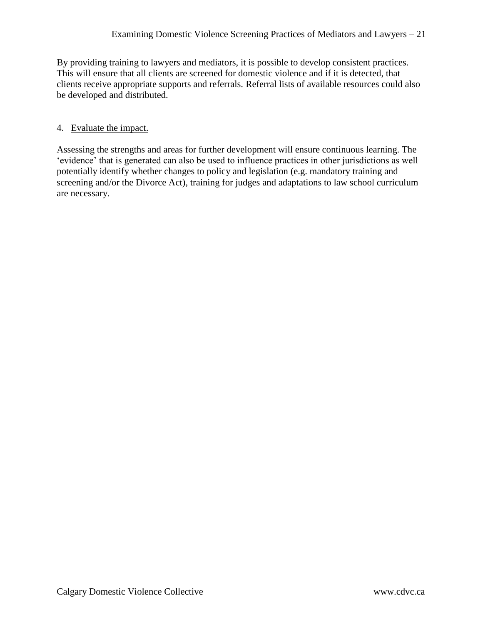By providing training to lawyers and mediators, it is possible to develop consistent practices. This will ensure that all clients are screened for domestic violence and if it is detected, that clients receive appropriate supports and referrals. Referral lists of available resources could also be developed and distributed.

#### 4. Evaluate the impact.

Assessing the strengths and areas for further development will ensure continuous learning. The 'evidence' that is generated can also be used to influence practices in other jurisdictions as well potentially identify whether changes to policy and legislation (e.g. mandatory training and screening and/or the Divorce Act), training for judges and adaptations to law school curriculum are necessary.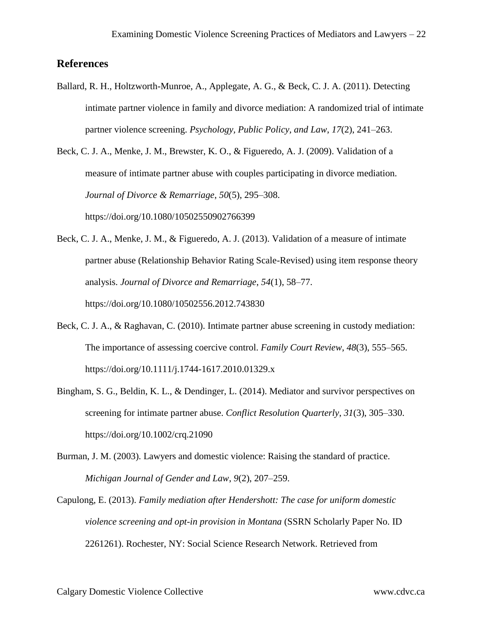# <span id="page-22-0"></span>**References**

Ballard, R. H., Holtzworth-Munroe, A., Applegate, A. G., & Beck, C. J. A. (2011). Detecting intimate partner violence in family and divorce mediation: A randomized trial of intimate partner violence screening. *Psychology, Public Policy, and Law*, *17*(2), 241–263.

Beck, C. J. A., Menke, J. M., Brewster, K. O., & Figueredo, A. J. (2009). Validation of a measure of intimate partner abuse with couples participating in divorce mediation. *Journal of Divorce & Remarriage*, *50*(5), 295–308. https://doi.org/10.1080/10502550902766399

- Beck, C. J. A., Menke, J. M., & Figueredo, A. J. (2013). Validation of a measure of intimate partner abuse (Relationship Behavior Rating Scale-Revised) using item response theory analysis. *Journal of Divorce and Remarriage*, *54*(1), 58–77. https://doi.org/10.1080/10502556.2012.743830
- Beck, C. J. A., & Raghavan, C. (2010). Intimate partner abuse screening in custody mediation: The importance of assessing coercive control. *Family Court Review*, *48*(3), 555–565. https://doi.org/10.1111/j.1744-1617.2010.01329.x
- Bingham, S. G., Beldin, K. L., & Dendinger, L. (2014). Mediator and survivor perspectives on screening for intimate partner abuse. *Conflict Resolution Quarterly*, *31*(3), 305–330. https://doi.org/10.1002/crq.21090
- Burman, J. M. (2003). Lawyers and domestic violence: Raising the standard of practice. *Michigan Journal of Gender and Law*, *9*(2), 207–259.
- Capulong, E. (2013). *Family mediation after Hendershott: The case for uniform domestic violence screening and opt-in provision in Montana* (SSRN Scholarly Paper No. ID 2261261). Rochester, NY: Social Science Research Network. Retrieved from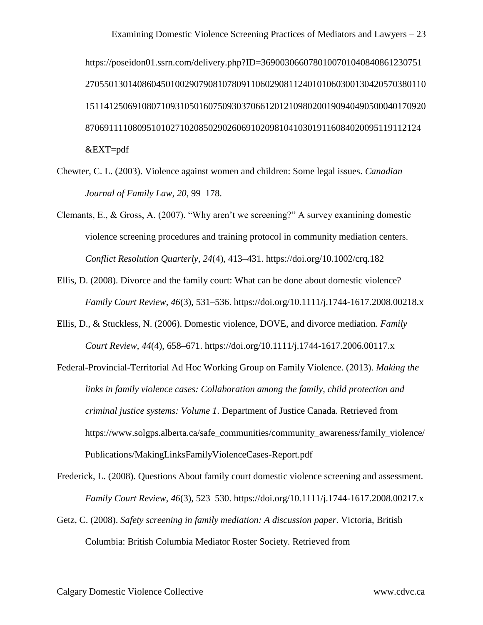https://poseidon01.ssrn.com/delivery.php?ID=3690030660780100701040840861230751 270550130140860450100290790810780911060290811240101060300130420570380110 151141250691080710931050160750930370661201210980200190940490500040170920 87069111108095101027102085029026069102098104103019116084020095119112124 &EXT=pdf

- Chewter, C. L. (2003). Violence against women and children: Some legal issues. *Canadian Journal of Family Law*, *20*, 99–178.
- Clemants, E., & Gross, A. (2007). "Why aren't we screening?" A survey examining domestic violence screening procedures and training protocol in community mediation centers. *Conflict Resolution Quarterly*, *24*(4), 413–431. https://doi.org/10.1002/crq.182
- Ellis, D. (2008). Divorce and the family court: What can be done about domestic violence? *Family Court Review*, *46*(3), 531–536. https://doi.org/10.1111/j.1744-1617.2008.00218.x
- Ellis, D., & Stuckless, N. (2006). Domestic violence, DOVE, and divorce mediation. *Family Court Review*, *44*(4), 658–671. https://doi.org/10.1111/j.1744-1617.2006.00117.x
- Federal-Provincial-Territorial Ad Hoc Working Group on Family Violence. (2013). *Making the links in family violence cases: Collaboration among the family, child protection and criminal justice systems: Volume 1*. Department of Justice Canada. Retrieved from https://www.solgps.alberta.ca/safe\_communities/community\_awareness/family\_violence/ Publications/MakingLinksFamilyViolenceCases-Report.pdf

Frederick, L. (2008). Questions About family court domestic violence screening and assessment. *Family Court Review*, *46*(3), 523–530. https://doi.org/10.1111/j.1744-1617.2008.00217.x

Getz, C. (2008). *Safety screening in family mediation: A discussion paper*. Victoria, British Columbia: British Columbia Mediator Roster Society. Retrieved from

Calgary Domestic Violence Collective www.cdvc.ca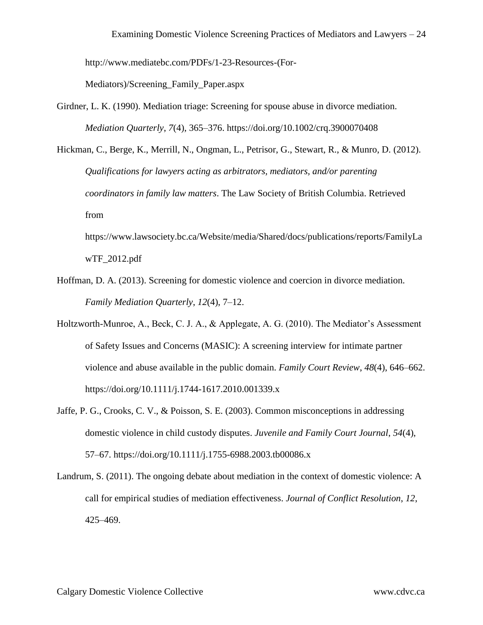http://www.mediatebc.com/PDFs/1-23-Resources-(For-

Mediators)/Screening\_Family\_Paper.aspx

- Girdner, L. K. (1990). Mediation triage: Screening for spouse abuse in divorce mediation. *Mediation Quarterly*, *7*(4), 365–376. https://doi.org/10.1002/crq.3900070408
- Hickman, C., Berge, K., Merrill, N., Ongman, L., Petrisor, G., Stewart, R., & Munro, D. (2012). *Qualifications for lawyers acting as arbitrators, mediators, and/or parenting coordinators in family law matters*. The Law Society of British Columbia. Retrieved from

https://www.lawsociety.bc.ca/Website/media/Shared/docs/publications/reports/FamilyLa wTF\_2012.pdf

- Hoffman, D. A. (2013). Screening for domestic violence and coercion in divorce mediation. *Family Mediation Quarterly*, *12*(4), 7–12.
- Holtzworth-Munroe, A., Beck, C. J. A., & Applegate, A. G. (2010). The Mediator's Assessment of Safety Issues and Concerns (MASIC): A screening interview for intimate partner violence and abuse available in the public domain. *Family Court Review*, *48*(4), 646–662. https://doi.org/10.1111/j.1744-1617.2010.001339.x
- Jaffe, P. G., Crooks, C. V., & Poisson, S. E. (2003). Common misconceptions in addressing domestic violence in child custody disputes. *Juvenile and Family Court Journal*, *54*(4), 57–67. https://doi.org/10.1111/j.1755-6988.2003.tb00086.x
- Landrum, S. (2011). The ongoing debate about mediation in the context of domestic violence: A call for empirical studies of mediation effectiveness. *Journal of Conflict Resolution*, *12*, 425–469.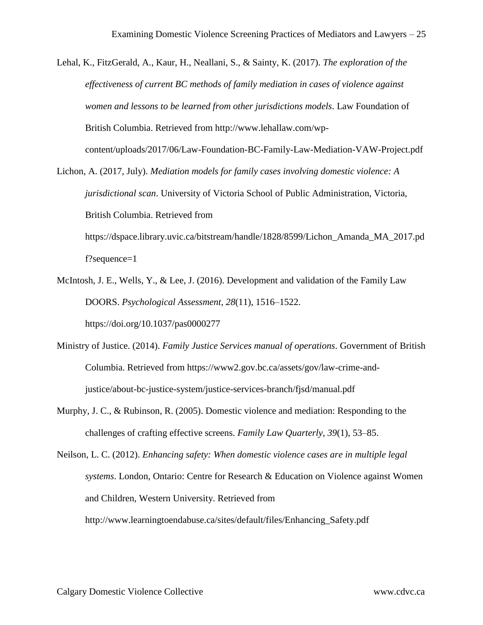- Lehal, K., FitzGerald, A., Kaur, H., Neallani, S., & Sainty, K. (2017). *The exploration of the effectiveness of current BC methods of family mediation in cases of violence against women and lessons to be learned from other jurisdictions models*. Law Foundation of British Columbia. Retrieved from http://www.lehallaw.com/wpcontent/uploads/2017/06/Law-Foundation-BC-Family-Law-Mediation-VAW-Project.pdf
- Lichon, A. (2017, July). *Mediation models for family cases involving domestic violence: A jurisdictional scan*. University of Victoria School of Public Administration, Victoria, British Columbia. Retrieved from https://dspace.library.uvic.ca/bitstream/handle/1828/8599/Lichon\_Amanda\_MA\_2017.pd

f?sequence=1

McIntosh, J. E., Wells, Y., & Lee, J. (2016). Development and validation of the Family Law DOORS. *Psychological Assessment*, *28*(11), 1516–1522.

https://doi.org/10.1037/pas0000277

- Ministry of Justice. (2014). *Family Justice Services manual of operations*. Government of British Columbia. Retrieved from https://www2.gov.bc.ca/assets/gov/law-crime-andjustice/about-bc-justice-system/justice-services-branch/fjsd/manual.pdf
- Murphy, J. C., & Rubinson, R. (2005). Domestic violence and mediation: Responding to the challenges of crafting effective screens. *Family Law Quarterly*, *39*(1), 53–85.
- Neilson, L. C. (2012). *Enhancing safety: When domestic violence cases are in multiple legal systems*. London, Ontario: Centre for Research & Education on Violence against Women and Children, Western University. Retrieved from http://www.learningtoendabuse.ca/sites/default/files/Enhancing\_Safety.pdf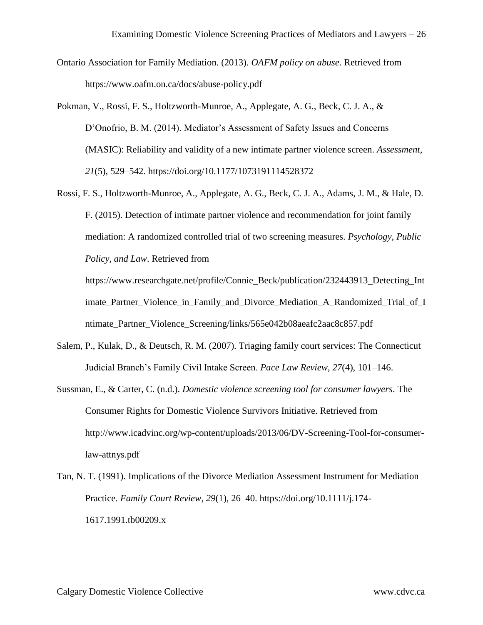- Ontario Association for Family Mediation. (2013). *OAFM policy on abuse*. Retrieved from https://www.oafm.on.ca/docs/abuse-policy.pdf
- Pokman, V., Rossi, F. S., Holtzworth-Munroe, A., Applegate, A. G., Beck, C. J. A., & D'Onofrio, B. M. (2014). Mediator's Assessment of Safety Issues and Concerns (MASIC): Reliability and validity of a new intimate partner violence screen. *Assessment*, *21*(5), 529–542. https://doi.org/10.1177/1073191114528372
- Rossi, F. S., Holtzworth-Munroe, A., Applegate, A. G., Beck, C. J. A., Adams, J. M., & Hale, D. F. (2015). Detection of intimate partner violence and recommendation for joint family mediation: A randomized controlled trial of two screening measures. *Psychology, Public Policy, and Law*. Retrieved from

https://www.researchgate.net/profile/Connie\_Beck/publication/232443913\_Detecting\_Int imate\_Partner\_Violence\_in\_Family\_and\_Divorce\_Mediation\_A\_Randomized\_Trial\_of\_I ntimate\_Partner\_Violence\_Screening/links/565e042b08aeafc2aac8c857.pdf

- Salem, P., Kulak, D., & Deutsch, R. M. (2007). Triaging family court services: The Connecticut Judicial Branch's Family Civil Intake Screen. *Pace Law Review*, *27*(4), 101–146.
- Sussman, E., & Carter, C. (n.d.). *Domestic violence screening tool for consumer lawyers*. The Consumer Rights for Domestic Violence Survivors Initiative. Retrieved from http://www.icadvinc.org/wp-content/uploads/2013/06/DV-Screening-Tool-for-consumerlaw-attnys.pdf
- Tan, N. T. (1991). Implications of the Divorce Mediation Assessment Instrument for Mediation Practice. *Family Court Review*, *29*(1), 26–40. https://doi.org/10.1111/j.174- 1617.1991.tb00209.x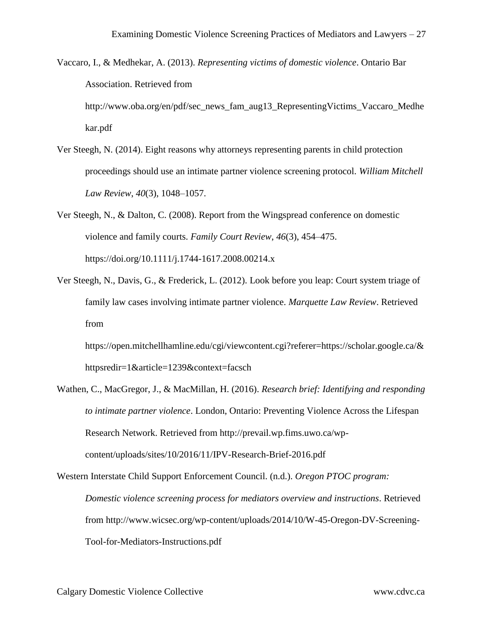- Vaccaro, I., & Medhekar, A. (2013). *Representing victims of domestic violence*. Ontario Bar Association. Retrieved from http://www.oba.org/en/pdf/sec\_news\_fam\_aug13\_RepresentingVictims\_Vaccaro\_Medhe kar.pdf
- Ver Steegh, N. (2014). Eight reasons why attorneys representing parents in child protection proceedings should use an intimate partner violence screening protocol. *William Mitchell Law Review*, *40*(3), 1048–1057.

Ver Steegh, N., & Dalton, C. (2008). Report from the Wingspread conference on domestic violence and family courts. *Family Court Review*, *46*(3), 454–475. https://doi.org/10.1111/j.1744-1617.2008.00214.x

Ver Steegh, N., Davis, G., & Frederick, L. (2012). Look before you leap: Court system triage of family law cases involving intimate partner violence. *Marquette Law Review*. Retrieved from

https://open.mitchellhamline.edu/cgi/viewcontent.cgi?referer=https://scholar.google.ca/& httpsredir=1&article=1239&context=facsch

Wathen, C., MacGregor, J., & MacMillan, H. (2016). *Research brief: Identifying and responding to intimate partner violence*. London, Ontario: Preventing Violence Across the Lifespan Research Network. Retrieved from http://prevail.wp.fims.uwo.ca/wpcontent/uploads/sites/10/2016/11/IPV-Research-Brief-2016.pdf

Western Interstate Child Support Enforcement Council. (n.d.). *Oregon PTOC program: Domestic violence screening process for mediators overview and instructions*. Retrieved from http://www.wicsec.org/wp-content/uploads/2014/10/W-45-Oregon-DV-Screening-Tool-for-Mediators-Instructions.pdf